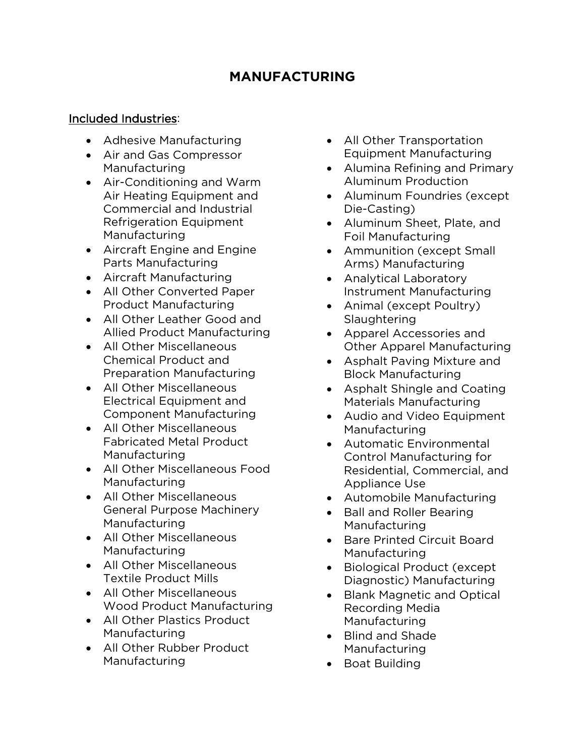## **MANUFACTURING**

## Included Industries:

- Adhesive Manufacturing
- Air and Gas Compressor Manufacturing
- Air-Conditioning and Warm Air Heating Equipment and Commercial and Industrial Refrigeration Equipment Manufacturing
- Aircraft Engine and Engine Parts Manufacturing
- Aircraft Manufacturing
- All Other Converted Paper Product Manufacturing
- All Other Leather Good and Allied Product Manufacturing
- All Other Miscellaneous Chemical Product and Preparation Manufacturing
- All Other Miscellaneous Electrical Equipment and Component Manufacturing
- All Other Miscellaneous Fabricated Metal Product Manufacturing
- All Other Miscellaneous Food Manufacturing
- All Other Miscellaneous General Purpose Machinery Manufacturing
- All Other Miscellaneous Manufacturing
- All Other Miscellaneous Textile Product Mills
- All Other Miscellaneous Wood Product Manufacturing
- All Other Plastics Product Manufacturing
- All Other Rubber Product Manufacturing
- All Other Transportation Equipment Manufacturing
- Alumina Refining and Primary Aluminum Production
- Aluminum Foundries (except Die-Casting)
- Aluminum Sheet, Plate, and Foil Manufacturing
- Ammunition (except Small Arms) Manufacturing
- Analytical Laboratory Instrument Manufacturing
- Animal (except Poultry) Slaughtering
- Apparel Accessories and Other Apparel Manufacturing
- Asphalt Paving Mixture and Block Manufacturing
- Asphalt Shingle and Coating Materials Manufacturing
- Audio and Video Equipment Manufacturing
- Automatic Environmental Control Manufacturing for Residential, Commercial, and Appliance Use
- Automobile Manufacturing
- Ball and Roller Bearing Manufacturing
- Bare Printed Circuit Board Manufacturing
- Biological Product (except Diagnostic) Manufacturing
- Blank Magnetic and Optical Recording Media Manufacturing
- Blind and Shade Manufacturing
- Boat Building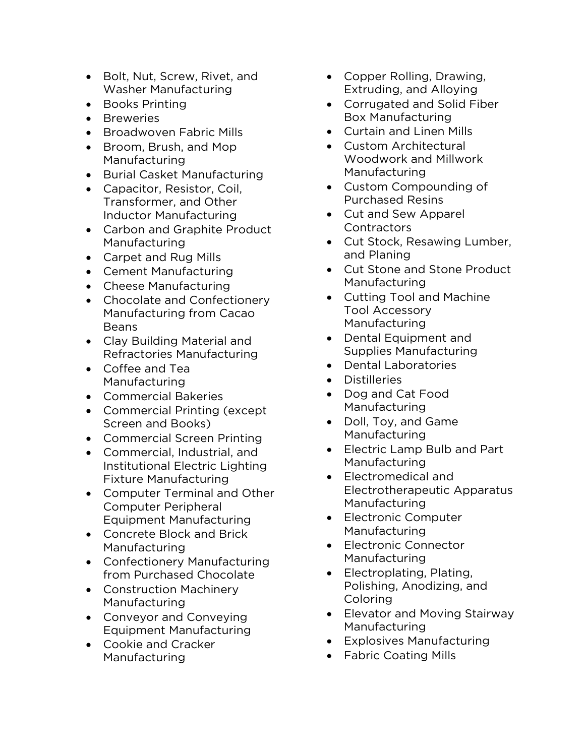- Bolt, Nut, Screw, Rivet, and Washer Manufacturing
- Books Printing
- Breweries
- Broadwoven Fabric Mills
- Broom, Brush, and Mop Manufacturing
- Burial Casket Manufacturing
- Capacitor, Resistor, Coil, Transformer, and Other Inductor Manufacturing
- Carbon and Graphite Product Manufacturing
- Carpet and Rug Mills
- Cement Manufacturing
- Cheese Manufacturing
- Chocolate and Confectionery Manufacturing from Cacao Beans
- Clay Building Material and Refractories Manufacturing
- Coffee and Tea Manufacturing
- Commercial Bakeries
- Commercial Printing (except Screen and Books)
- Commercial Screen Printing
- Commercial, Industrial, and Institutional Electric Lighting Fixture Manufacturing
- Computer Terminal and Other Computer Peripheral Equipment Manufacturing
- Concrete Block and Brick Manufacturing
- Confectionery Manufacturing from Purchased Chocolate
- Construction Machinery Manufacturing
- Conveyor and Conveying Equipment Manufacturing
- Cookie and Cracker Manufacturing
- Copper Rolling, Drawing, Extruding, and Alloying
- Corrugated and Solid Fiber Box Manufacturing
- Curtain and Linen Mills
- Custom Architectural Woodwork and Millwork Manufacturing
- Custom Compounding of Purchased Resins
- Cut and Sew Apparel **Contractors**
- Cut Stock, Resawing Lumber, and Planing
- Cut Stone and Stone Product Manufacturing
- Cutting Tool and Machine Tool Accessory Manufacturing
- Dental Equipment and Supplies Manufacturing
- Dental Laboratories
- Distilleries
- Dog and Cat Food Manufacturing
- Doll, Toy, and Game Manufacturing
- Electric Lamp Bulb and Part Manufacturing
- Electromedical and Electrotherapeutic Apparatus Manufacturing
- Electronic Computer Manufacturing
- Electronic Connector Manufacturing
- Electroplating, Plating, Polishing, Anodizing, and Coloring
- Elevator and Moving Stairway Manufacturing
- Explosives Manufacturing
- Fabric Coating Mills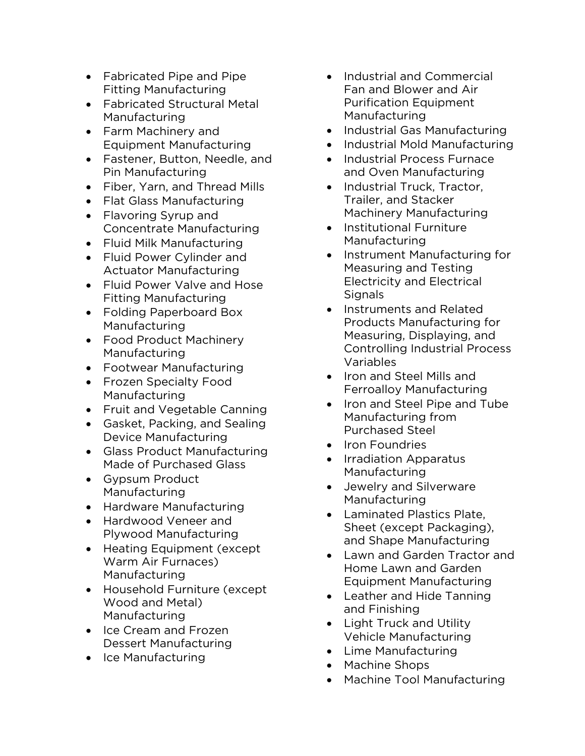- Fabricated Pipe and Pipe Fitting Manufacturing
- Fabricated Structural Metal Manufacturing
- Farm Machinery and Equipment Manufacturing
- Fastener, Button, Needle, and Pin Manufacturing
- Fiber, Yarn, and Thread Mills
- Flat Glass Manufacturing
- Flavoring Syrup and Concentrate Manufacturing
- Fluid Milk Manufacturing
- Fluid Power Cylinder and Actuator Manufacturing
- Fluid Power Valve and Hose Fitting Manufacturing
- Folding Paperboard Box Manufacturing
- Food Product Machinery Manufacturing
- Footwear Manufacturing
- Frozen Specialty Food Manufacturing
- Fruit and Vegetable Canning
- Gasket, Packing, and Sealing Device Manufacturing
- Glass Product Manufacturing Made of Purchased Glass
- Gypsum Product Manufacturing
- Hardware Manufacturing
- Hardwood Veneer and Plywood Manufacturing
- Heating Equipment (except Warm Air Furnaces) Manufacturing
- Household Furniture (except Wood and Metal) Manufacturing
- Ice Cream and Frozen Dessert Manufacturing
- Ice Manufacturing
- Industrial and Commercial Fan and Blower and Air Purification Equipment Manufacturing
- Industrial Gas Manufacturing
- Industrial Mold Manufacturing
- Industrial Process Furnace and Oven Manufacturing
- Industrial Truck, Tractor, Trailer, and Stacker Machinery Manufacturing
- Institutional Furniture Manufacturing
- Instrument Manufacturing for Measuring and Testing Electricity and Electrical **Signals**
- Instruments and Related Products Manufacturing for Measuring, Displaying, and Controlling Industrial Process Variables
- Iron and Steel Mills and Ferroalloy Manufacturing
- Iron and Steel Pipe and Tube Manufacturing from Purchased Steel
- Iron Foundries
- Irradiation Apparatus Manufacturing
- Jewelry and Silverware Manufacturing
- Laminated Plastics Plate, Sheet (except Packaging), and Shape Manufacturing
- Lawn and Garden Tractor and Home Lawn and Garden Equipment Manufacturing
- Leather and Hide Tanning and Finishing
- Light Truck and Utility Vehicle Manufacturing
- Lime Manufacturing
- Machine Shops
- Machine Tool Manufacturing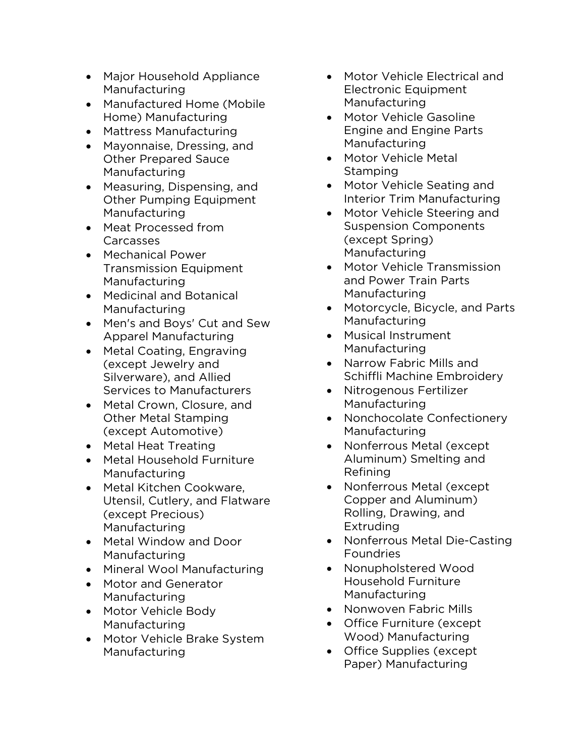- Major Household Appliance Manufacturing
- Manufactured Home (Mobile Home) Manufacturing
- Mattress Manufacturing
- Mayonnaise, Dressing, and Other Prepared Sauce Manufacturing
- Measuring, Dispensing, and Other Pumping Equipment Manufacturing
- Meat Processed from Carcasses
- Mechanical Power Transmission Equipment Manufacturing
- Medicinal and Botanical Manufacturing
- Men's and Boys' Cut and Sew Apparel Manufacturing
- Metal Coating, Engraving (except Jewelry and Silverware), and Allied Services to Manufacturers
- Metal Crown, Closure, and Other Metal Stamping (except Automotive)
- Metal Heat Treating
- Metal Household Furniture Manufacturing
- Metal Kitchen Cookware, Utensil, Cutlery, and Flatware (except Precious) Manufacturing
- Metal Window and Door Manufacturing
- Mineral Wool Manufacturing
- Motor and Generator Manufacturing
- Motor Vehicle Body Manufacturing
- Motor Vehicle Brake System **Manufacturing**
- Motor Vehicle Electrical and Electronic Equipment Manufacturing
- Motor Vehicle Gasoline Engine and Engine Parts Manufacturing
- Motor Vehicle Metal Stamping
- Motor Vehicle Seating and Interior Trim Manufacturing
- Motor Vehicle Steering and Suspension Components (except Spring) Manufacturing
- Motor Vehicle Transmission and Power Train Parts Manufacturing
- Motorcycle, Bicycle, and Parts **Manufacturing**
- Musical Instrument Manufacturing
- Narrow Fabric Mills and Schiffli Machine Embroidery
- Nitrogenous Fertilizer Manufacturing
- Nonchocolate Confectionery Manufacturing
- Nonferrous Metal (except Aluminum) Smelting and Refining
- Nonferrous Metal (except Copper and Aluminum) Rolling, Drawing, and Extruding
- Nonferrous Metal Die-Casting Foundries
- Nonupholstered Wood Household Furniture Manufacturing
- Nonwoven Fabric Mills
- Office Furniture (except Wood) Manufacturing
- Office Supplies (except Paper) Manufacturing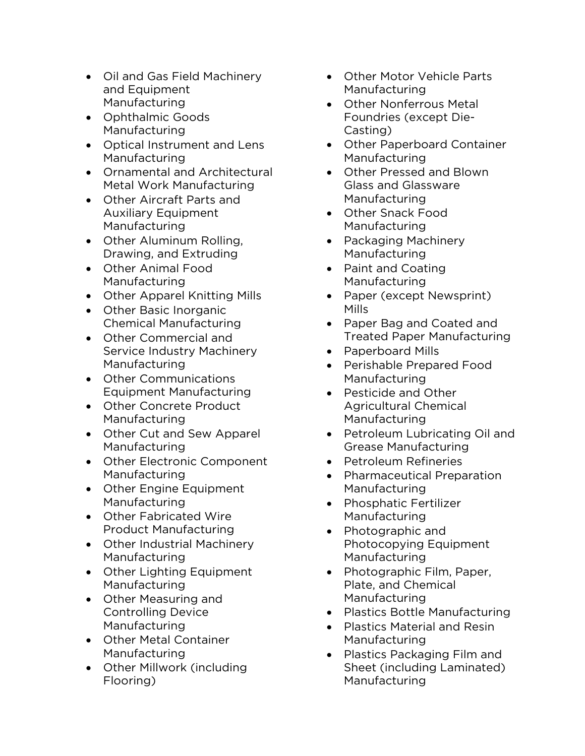- Oil and Gas Field Machinery and Equipment Manufacturing
- Ophthalmic Goods Manufacturing
- Optical Instrument and Lens Manufacturing
- Ornamental and Architectural Metal Work Manufacturing
- Other Aircraft Parts and Auxiliary Equipment Manufacturing
- Other Aluminum Rolling, Drawing, and Extruding
- Other Animal Food Manufacturing
- Other Apparel Knitting Mills
- Other Basic Inorganic Chemical Manufacturing
- Other Commercial and Service Industry Machinery Manufacturing
- Other Communications Equipment Manufacturing
- Other Concrete Product Manufacturing
- Other Cut and Sew Apparel Manufacturing
- Other Electronic Component Manufacturing
- Other Engine Equipment Manufacturing
- Other Fabricated Wire Product Manufacturing
- Other Industrial Machinery Manufacturing
- Other Lighting Equipment Manufacturing
- Other Measuring and Controlling Device Manufacturing
- Other Metal Container Manufacturing
- Other Millwork (including Flooring)
- Other Motor Vehicle Parts Manufacturing
- Other Nonferrous Metal Foundries (except Die-Casting)
- Other Paperboard Container Manufacturing
- Other Pressed and Blown Glass and Glassware Manufacturing
- Other Snack Food Manufacturing
- Packaging Machinery Manufacturing
- Paint and Coating Manufacturing
- Paper (except Newsprint) Mills
- Paper Bag and Coated and Treated Paper Manufacturing
- Paperboard Mills
- Perishable Prepared Food Manufacturing
- Pesticide and Other Agricultural Chemical Manufacturing
- Petroleum Lubricating Oil and Grease Manufacturing
- Petroleum Refineries
- Pharmaceutical Preparation Manufacturing
- Phosphatic Fertilizer Manufacturing
- Photographic and Photocopying Equipment Manufacturing
- Photographic Film, Paper, Plate, and Chemical Manufacturing
- Plastics Bottle Manufacturing
- Plastics Material and Resin Manufacturing
- Plastics Packaging Film and Sheet (including Laminated) Manufacturing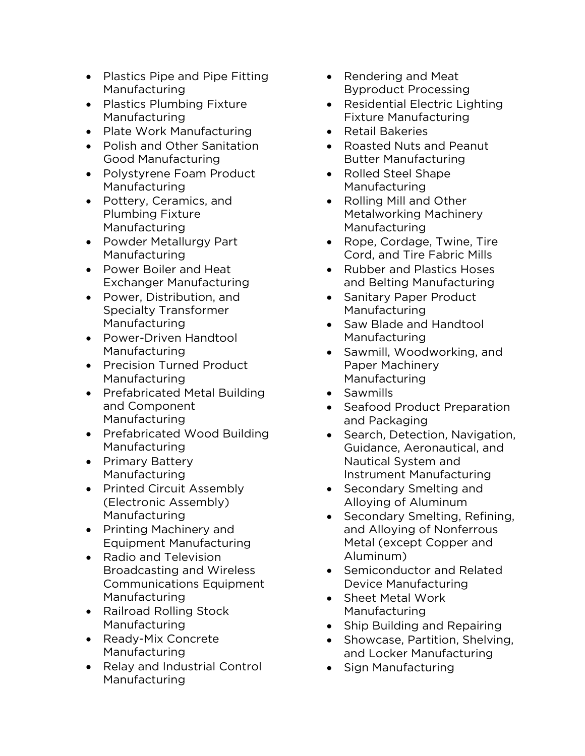- Plastics Pipe and Pipe Fitting Manufacturing
- Plastics Plumbing Fixture Manufacturing
- Plate Work Manufacturing
- Polish and Other Sanitation Good Manufacturing
- Polystyrene Foam Product Manufacturing
- Pottery, Ceramics, and Plumbing Fixture Manufacturing
- Powder Metallurgy Part Manufacturing
- Power Boiler and Heat Exchanger Manufacturing
- Power, Distribution, and Specialty Transformer Manufacturing
- Power-Driven Handtool **Manufacturing**
- Precision Turned Product Manufacturing
- Prefabricated Metal Building and Component Manufacturing
- Prefabricated Wood Building **Manufacturing**
- Primary Battery Manufacturing
- Printed Circuit Assembly (Electronic Assembly) Manufacturing
- Printing Machinery and Equipment Manufacturing
- Radio and Television Broadcasting and Wireless Communications Equipment Manufacturing
- Railroad Rolling Stock Manufacturing
- Ready-Mix Concrete Manufacturing
- Relay and Industrial Control Manufacturing
- Rendering and Meat Byproduct Processing
- Residential Electric Lighting Fixture Manufacturing
- Retail Bakeries
- Roasted Nuts and Peanut Butter Manufacturing
- Rolled Steel Shape Manufacturing
- Rolling Mill and Other Metalworking Machinery Manufacturing
- Rope, Cordage, Twine, Tire Cord, and Tire Fabric Mills
- Rubber and Plastics Hoses and Belting Manufacturing
- Sanitary Paper Product Manufacturing
- Saw Blade and Handtool Manufacturing
- Sawmill, Woodworking, and Paper Machinery Manufacturing
- Sawmills
- Seafood Product Preparation and Packaging
- Search, Detection, Navigation, Guidance, Aeronautical, and Nautical System and Instrument Manufacturing
- Secondary Smelting and Alloying of Aluminum
- Secondary Smelting, Refining, and Alloying of Nonferrous Metal (except Copper and Aluminum)
- Semiconductor and Related Device Manufacturing
- Sheet Metal Work Manufacturing
- Ship Building and Repairing
- Showcase, Partition, Shelving, and Locker Manufacturing
- Sign Manufacturing